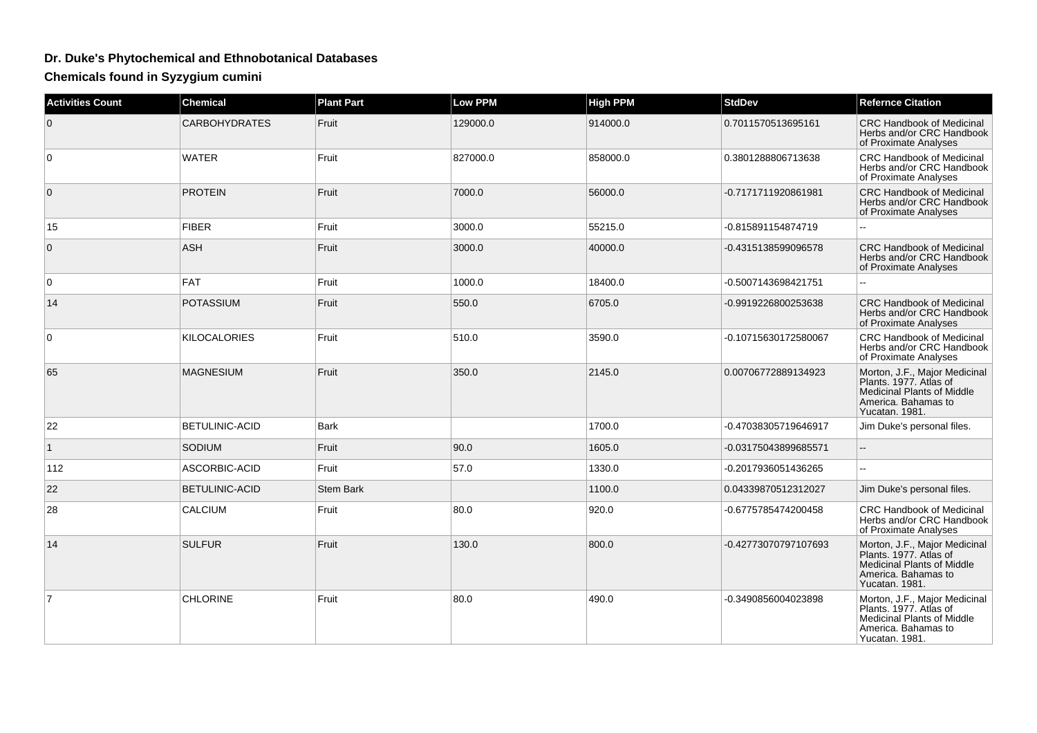## **Dr. Duke's Phytochemical and Ethnobotanical Databases**

**Chemicals found in Syzygium cumini**

| <b>Activities Count</b> | <b>Chemical</b>       | <b>Plant Part</b> | <b>Low PPM</b> | <b>High PPM</b> | <b>StdDev</b>        | <b>Refernce Citation</b>                                                                                                              |
|-------------------------|-----------------------|-------------------|----------------|-----------------|----------------------|---------------------------------------------------------------------------------------------------------------------------------------|
| $\overline{0}$          | <b>CARBOHYDRATES</b>  | Fruit             | 129000.0       | 914000.0        | 0.7011570513695161   | <b>CRC Handbook of Medicinal</b><br>Herbs and/or CRC Handbook<br>of Proximate Analyses                                                |
| $\overline{0}$          | <b>WATER</b>          | Fruit             | 827000.0       | 858000.0        | 0.3801288806713638   | <b>CRC Handbook of Medicinal</b><br>Herbs and/or CRC Handbook<br>of Proximate Analyses                                                |
| $\overline{0}$          | <b>PROTEIN</b>        | Fruit             | 7000.0         | 56000.0         | -0.7171711920861981  | CRC Handbook of Medicinal<br>Herbs and/or CRC Handbook<br>of Proximate Analyses                                                       |
| 15                      | <b>FIBER</b>          | Fruit             | 3000.0         | 55215.0         | -0.815891154874719   |                                                                                                                                       |
| $\overline{0}$          | ASH                   | Fruit             | 3000.0         | 40000.0         | -0.4315138599096578  | CRC Handbook of Medicinal<br>Herbs and/or CRC Handbook<br>of Proximate Analyses                                                       |
| $\overline{0}$          | FAT                   | Fruit             | 1000.0         | 18400.0         | -0.5007143698421751  |                                                                                                                                       |
| 14                      | POTASSIUM             | Fruit             | 550.0          | 6705.0          | -0.9919226800253638  | <b>CRC Handbook of Medicinal</b><br>Herbs and/or CRC Handbook<br>of Proximate Analyses                                                |
| $\overline{0}$          | KILOCALORIES          | Fruit             | 510.0          | 3590.0          | -0.10715630172580067 | <b>CRC Handbook of Medicinal</b><br>Herbs and/or CRC Handbook<br>of Proximate Analyses                                                |
| 65                      | <b>MAGNESIUM</b>      | Fruit             | 350.0          | 2145.0          | 0.00706772889134923  | Morton, J.F., Major Medicinal<br>Plants. 1977. Atlas of<br><b>Medicinal Plants of Middle</b><br>America. Bahamas to<br>Yucatan. 1981. |
| 22                      | <b>BETULINIC-ACID</b> | <b>Bark</b>       |                | 1700.0          | -0.47038305719646917 | Jim Duke's personal files.                                                                                                            |
| $\overline{1}$          | <b>SODIUM</b>         | Fruit             | 90.0           | 1605.0          | -0.03175043899685571 |                                                                                                                                       |
| 112                     | ASCORBIC-ACID         | Fruit             | 57.0           | 1330.0          | -0.2017936051436265  |                                                                                                                                       |
| 22                      | <b>BETULINIC-ACID</b> | <b>Stem Bark</b>  |                | 1100.0          | 0.04339870512312027  | Jim Duke's personal files.                                                                                                            |
| 28                      | <b>CALCIUM</b>        | Fruit             | 80.0           | 920.0           | -0.6775785474200458  | <b>CRC Handbook of Medicinal</b><br>Herbs and/or CRC Handbook<br>of Proximate Analyses                                                |
| 14                      | <b>SULFUR</b>         | Fruit             | 130.0          | 800.0           | -0.42773070797107693 | Morton, J.F., Major Medicinal<br>Plants. 1977. Atlas of<br><b>Medicinal Plants of Middle</b><br>America. Bahamas to<br>Yucatan. 1981. |
| $\overline{7}$          | <b>CHLORINE</b>       | Fruit             | 80.0           | 490.0           | -0.3490856004023898  | Morton, J.F., Major Medicinal<br>Plants. 1977. Atlas of<br><b>Medicinal Plants of Middle</b><br>America. Bahamas to<br>Yucatan. 1981. |